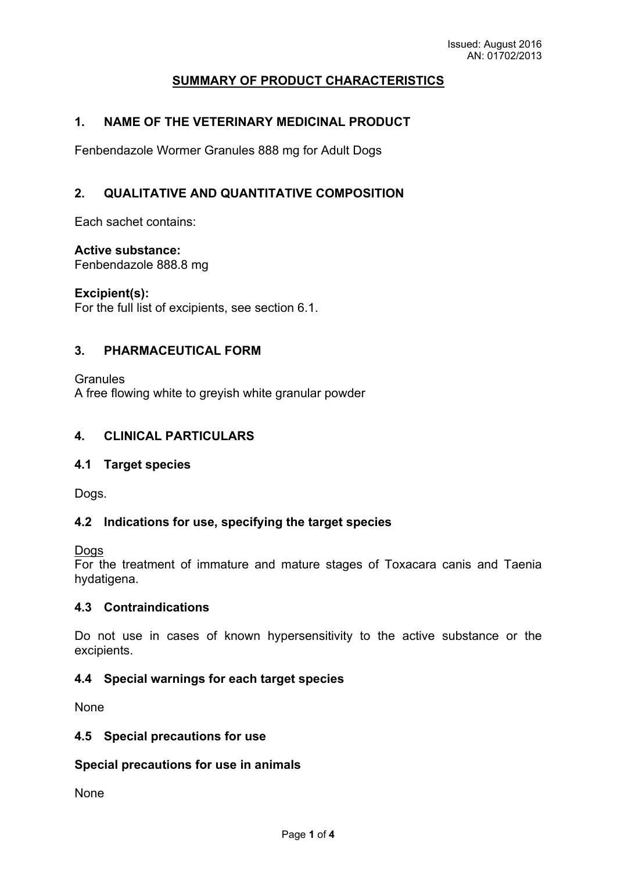# **SUMMARY OF PRODUCT CHARACTERISTICS**

## **1. NAME OF THE VETERINARY MEDICINAL PRODUCT**

Fenbendazole Wormer Granules 888 mg for Adult Dogs

## **2. QUALITATIVE AND QUANTITATIVE COMPOSITION**

Each sachet contains:

### **Active substance:**

Fenbendazole 888.8 mg

**Excipient(s):**

For the full list of excipients, see section 6.1.

#### **3. PHARMACEUTICAL FORM**

**Granules** A free flowing white to greyish white granular powder

### **4. CLINICAL PARTICULARS**

#### **4.1 Target species**

Dogs.

#### **4.2 Indications for use, specifying the target species**

Dogs

For the treatment of immature and mature stages of Toxacara canis and Taenia hydatigena.

#### **4.3 Contraindications**

Do not use in cases of known hypersensitivity to the active substance or the excipients.

#### **4.4 Special warnings for each target species**

None

#### **4.5 Special precautions for use**

#### **Special precautions for use in animals**

None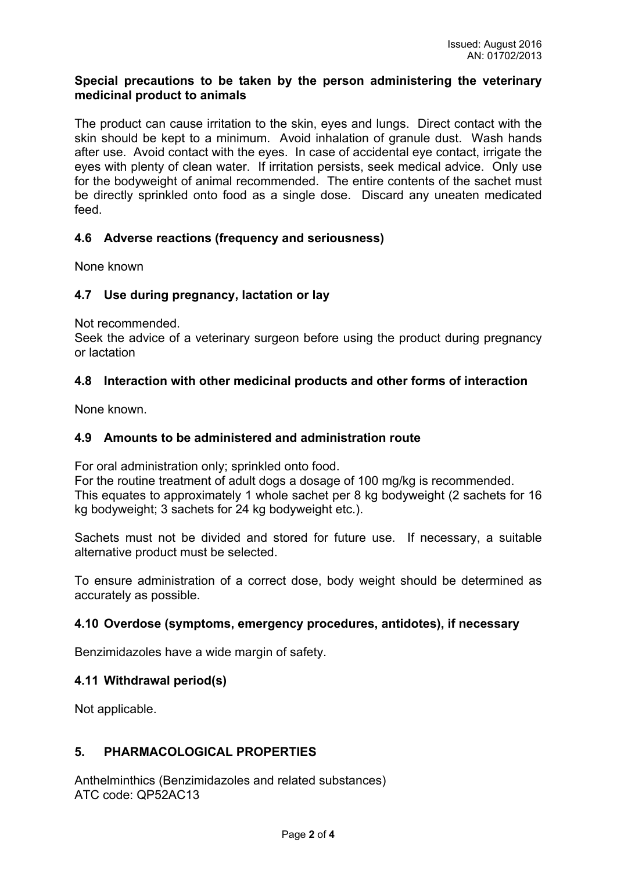#### **Special precautions to be taken by the person administering the veterinary medicinal product to animals**

The product can cause irritation to the skin, eyes and lungs. Direct contact with the skin should be kept to a minimum. Avoid inhalation of granule dust. Wash hands after use. Avoid contact with the eyes. In case of accidental eye contact, irrigate the eyes with plenty of clean water. If irritation persists, seek medical advice. Only use for the bodyweight of animal recommended. The entire contents of the sachet must be directly sprinkled onto food as a single dose. Discard any uneaten medicated feed.

## **4.6 Adverse reactions (frequency and seriousness)**

None known

#### **4.7 Use during pregnancy, lactation or lay**

Not recommended.

Seek the advice of a veterinary surgeon before using the product during pregnancy or lactation

#### **4.8 Interaction with other medicinal products and other forms of interaction**

None known.

#### **4.9 Amounts to be administered and administration route**

For oral administration only; sprinkled onto food.

For the routine treatment of adult dogs a dosage of 100 mg/kg is recommended. This equates to approximately 1 whole sachet per 8 kg bodyweight (2 sachets for 16 kg bodyweight; 3 sachets for 24 kg bodyweight etc.).

Sachets must not be divided and stored for future use. If necessary, a suitable alternative product must be selected.

To ensure administration of a correct dose, body weight should be determined as accurately as possible.

#### **4.10 Overdose (symptoms, emergency procedures, antidotes), if necessary**

Benzimidazoles have a wide margin of safety.

#### **4.11 Withdrawal period(s)**

Not applicable.

#### **5. PHARMACOLOGICAL PROPERTIES**

Anthelminthics (Benzimidazoles and related substances) ATC code: QP52AC13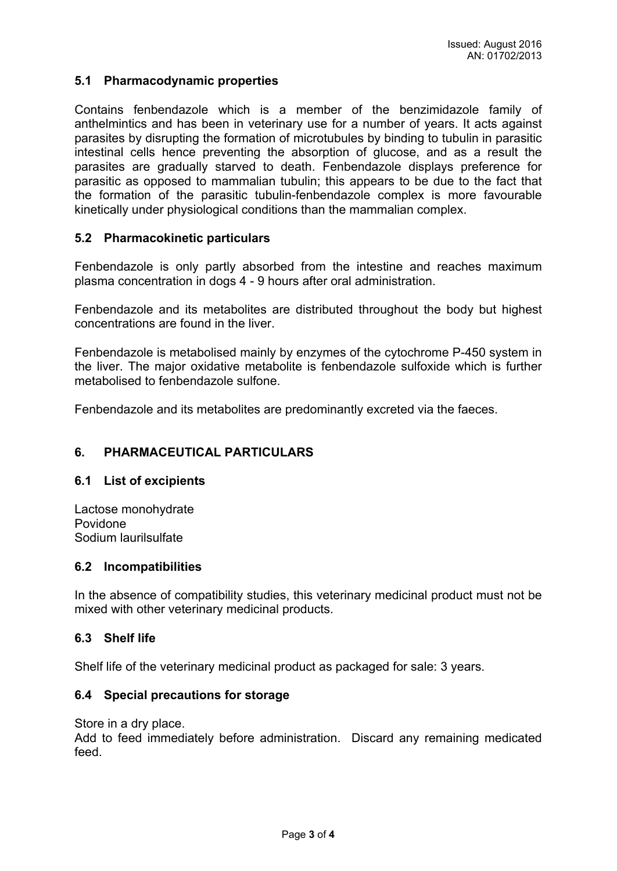### **5.1 Pharmacodynamic properties**

Contains fenbendazole which is a member of the benzimidazole family of anthelmintics and has been in veterinary use for a number of years. It acts against parasites by disrupting the formation of microtubules by binding to tubulin in parasitic intestinal cells hence preventing the absorption of glucose, and as a result the parasites are gradually starved to death. Fenbendazole displays preference for parasitic as opposed to mammalian tubulin; this appears to be due to the fact that the formation of the parasitic tubulin-fenbendazole complex is more favourable kinetically under physiological conditions than the mammalian complex.

#### **5.2 Pharmacokinetic particulars**

Fenbendazole is only partly absorbed from the intestine and reaches maximum plasma concentration in dogs 4 - 9 hours after oral administration.

Fenbendazole and its metabolites are distributed throughout the body but highest concentrations are found in the liver.

Fenbendazole is metabolised mainly by enzymes of the cytochrome P-450 system in the liver. The major oxidative metabolite is fenbendazole sulfoxide which is further metabolised to fenbendazole sulfone.

Fenbendazole and its metabolites are predominantly excreted via the faeces.

### **6. PHARMACEUTICAL PARTICULARS**

#### **6.1 List of excipients**

Lactose monohydrate Povidone Sodium laurilsulfate

#### **6.2 Incompatibilities**

In the absence of compatibility studies, this veterinary medicinal product must not be mixed with other veterinary medicinal products.

#### **6.3 Shelf life**

Shelf life of the veterinary medicinal product as packaged for sale: 3 years.

#### **6.4 Special precautions for storage**

Store in a dry place.

Add to feed immediately before administration. Discard any remaining medicated feed.